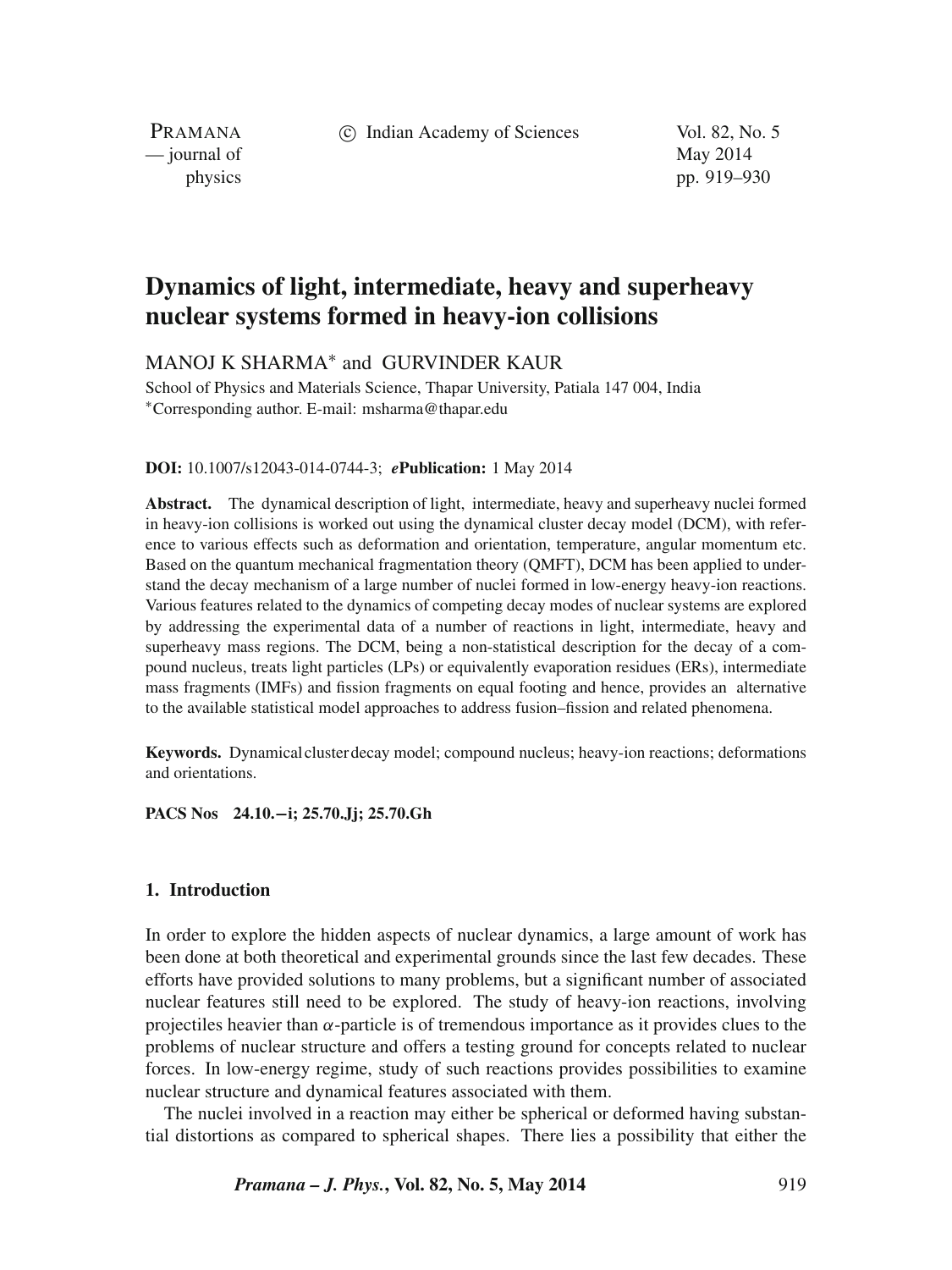c Indian Academy of Sciences Vol. 82, No. 5

PRAMANA — journal of May 2014

physics pp. 919–930

# **Dynamics of light, intermediate, heavy and superheavy nuclear systems formed in heavy-ion collisions**

# MANOJ K SHARMA<sup>\*</sup> and GURVINDER KAUR

School of Physics and Materials Science, Thapar University, Patiala 147 004, India ∗Corresponding author. E-mail: msharma@thapar.edu

#### **DOI:** 10.1007/s12043-014-0744-3; *e***Publication:** 1 May 2014

**Abstract.** The dynamical description of light, intermediate, heavy and superheavy nuclei formed in heavy-ion collisions is worked out using the dynamical cluster decay model (DCM), with reference to various effects such as deformation and orientation, temperature, angular momentum etc. Based on the quantum mechanical fragmentation theory (QMFT), DCM has been applied to understand the decay mechanism of a large number of nuclei formed in low-energy heavy-ion reactions. Various features related to the dynamics of competing decay modes of nuclear systems are explored by addressing the experimental data of a number of reactions in light, intermediate, heavy and superheavy mass regions. The DCM, being a non-statistical description for the decay of a compound nucleus, treats light particles (LPs) or equivalently evaporation residues (ERs), intermediate mass fragments (IMFs) and fission fragments on equal footing and hence, provides an alternative to the available statistical model approaches to address fusion–fission and related phenomena.

**Keywords.** Dynamical cluster decay model; compound nucleus; heavy-ion reactions; deformations and orientations.

**PACS Nos 24.10.−i; 25.70.Jj; 25.70.Gh**

#### **1. Introduction**

In order to explore the hidden aspects of nuclear dynamics, a large amount of work has been done at both theoretical and experimental grounds since the last few decades. These efforts have provided solutions to many problems, but a significant number of associated nuclear features still need to be explored. The study of heavy-ion reactions, involving projectiles heavier than  $\alpha$ -particle is of tremendous importance as it provides clues to the problems of nuclear structure and offers a testing ground for concepts related to nuclear forces. In low-energy regime, study of such reactions provides possibilities to examine nuclear structure and dynamical features associated with them.

The nuclei involved in a reaction may either be spherical or deformed having substantial distortions as compared to spherical shapes. There lies a possibility that either the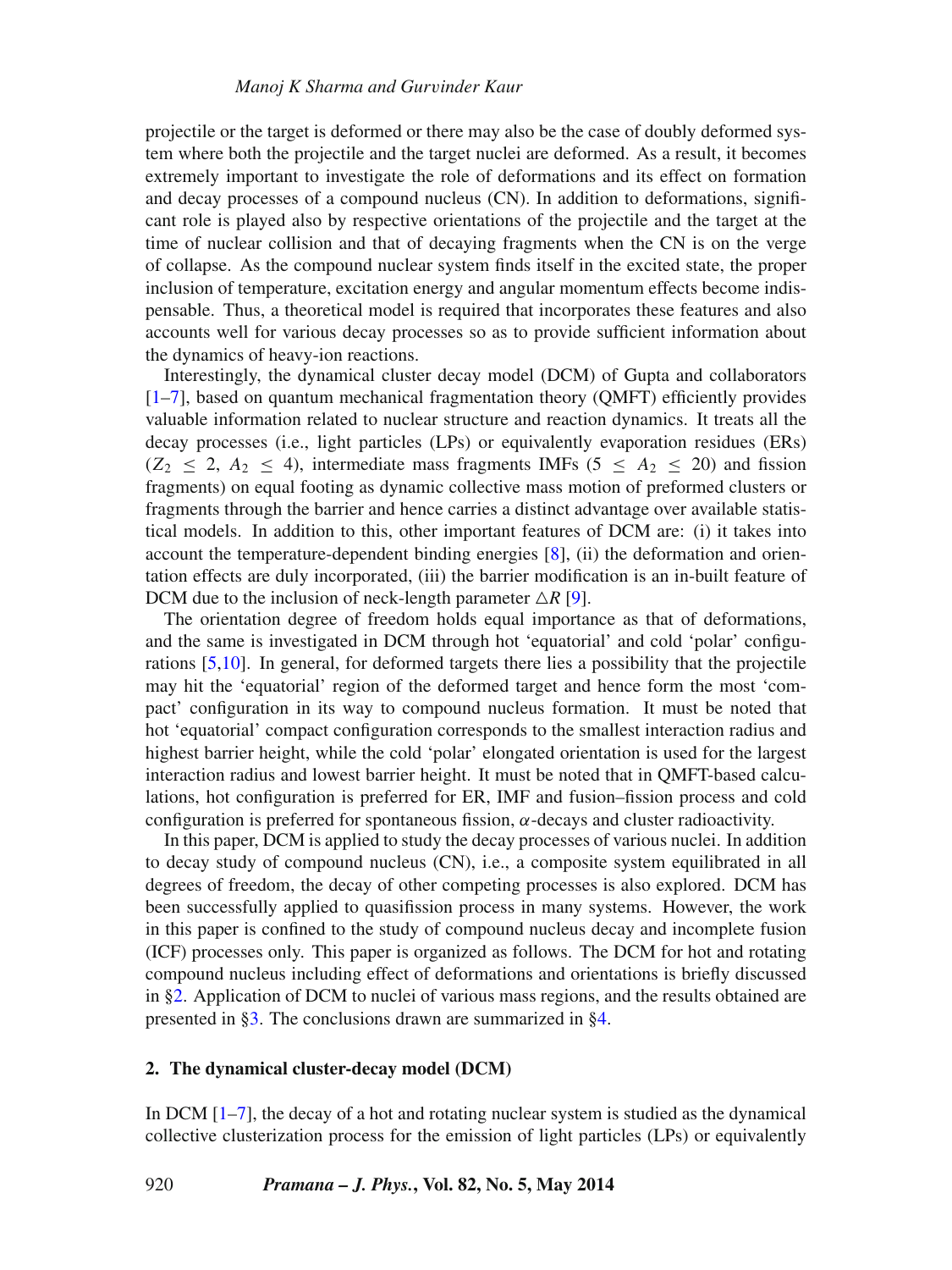projectile or the target is deformed or there may also be the case of doubly deformed system where both the projectile and the target nuclei are deformed. As a result, it becomes extremely important to investigate the role of deformations and its effect on formation and decay processes of a compound nucleus (CN). In addition to deformations, significant role is played also by respective orientations of the projectile and the target at the time of nuclear collision and that of decaying fragments when the CN is on the verge of collapse. As the compound nuclear system finds itself in the excited state, the proper inclusion of temperature, excitation energy and angular momentum effects become indispensable. Thus, a theoretical model is required that incorporates these features and also accounts well for various decay processes so as to provide sufficient information about the dynamics of heavy-ion reactions.

Interestingly, the dynamical cluster decay model (DCM) of Gupta and collaborators  $[1–7]$  $[1–7]$ , based on quantum mechanical fragmentation theory (QMFT) efficiently provides valuable information related to nuclear structure and reaction dynamics. It treats all the decay processes (i.e., light particles (LPs) or equivalently evaporation residues (ERs)  $(Z_2 \le 2, A_2 \le 4)$ , intermediate mass fragments IMFs  $(5 \le A_2 \le 20)$  and fission fragments) on equal footing as dynamic collective mass motion of preformed clusters or fragments through the barrier and hence carries a distinct advantage over available statistical models. In addition to this, other important features of DCM are: (i) it takes into account the temperature-dependent binding energies [\[8\]](#page-10-2), (ii) the deformation and orientation effects are duly incorporated, (iii) the barrier modification is an in-built feature of DCM due to the inclusion of neck-length parameter  $\triangle R$  [\[9\]](#page-10-3).

The orientation degree of freedom holds equal importance as that of deformations, and the same is investigated in DCM through hot 'equatorial' and cold 'polar' configurations [\[5](#page-10-4)[,10\]](#page-10-5). In general, for deformed targets there lies a possibility that the projectile may hit the 'equatorial' region of the deformed target and hence form the most 'compact' configuration in its way to compound nucleus formation. It must be noted that hot 'equatorial' compact configuration corresponds to the smallest interaction radius and highest barrier height, while the cold 'polar' elongated orientation is used for the largest interaction radius and lowest barrier height. It must be noted that in QMFT-based calculations, hot configuration is preferred for ER, IMF and fusion–fission process and cold configuration is preferred for spontaneous fission, *α*-decays and cluster radioactivity.

In this paper, DCM is applied to study the decay processes of various nuclei. In addition to decay study of compound nucleus (CN), i.e., a composite system equilibrated in all degrees of freedom, the decay of other competing processes is also explored. DCM has been successfully applied to quasifission process in many systems. However, the work in this paper is confined to the study of compound nucleus decay and incomplete fusion (ICF) processes only. This paper is organized as follows. The DCM for hot and rotating compound nucleus including effect of deformations and orientations is briefly discussed in [§2.](#page-1-0) Application of DCM to nuclei of various mass regions, and the results obtained are presented in [§3.](#page-3-0) The conclusions drawn are summarized in [§4.](#page-9-0)

## <span id="page-1-0"></span>**2. The dynamical cluster-decay model (DCM)**

In DCM [\[1](#page-10-0)[–7\]](#page-10-1), the decay of a hot and rotating nuclear system is studied as the dynamical collective clusterization process for the emission of light particles (LPs) or equivalently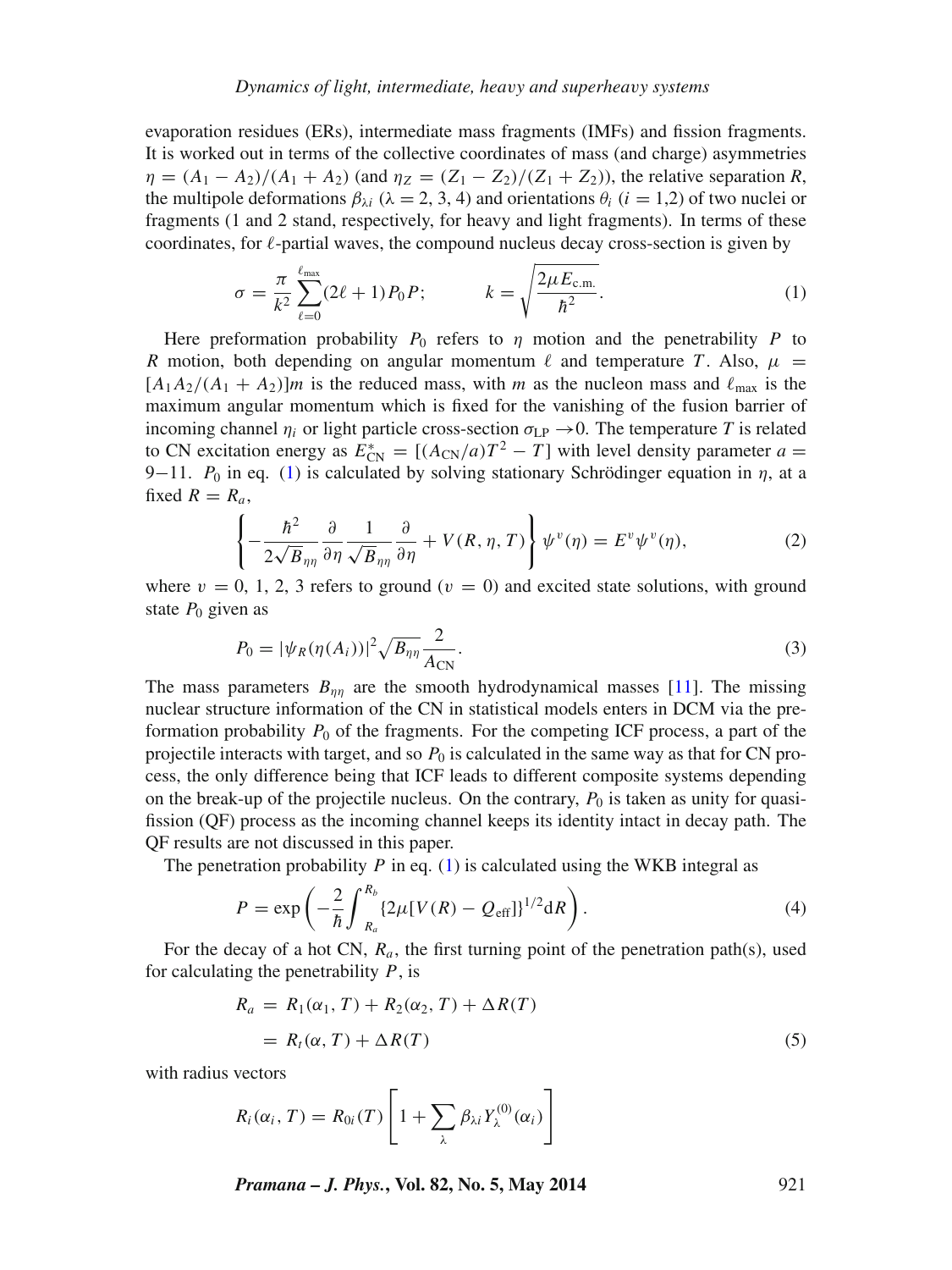evaporation residues (ERs), intermediate mass fragments (IMFs) and fission fragments. It is worked out in terms of the collective coordinates of mass (and charge) asymmetries  $\eta = (A_1 - A_2)/(A_1 + A_2)$  (and  $\eta_Z = (Z_1 - Z_2)/(Z_1 + Z_2)$ ), the relative separation *R*, the multipole deformations  $\beta_{\lambda i}$  ( $\lambda = 2, 3, 4$ ) and orientations  $\theta_i$  ( $i = 1, 2$ ) of two nuclei or fragments (1 and 2 stand, respectively, for heavy and light fragments). In terms of these coordinates, for  $\ell$ -partial waves, the compound nucleus decay cross-section is given by

<span id="page-2-0"></span>
$$
\sigma = \frac{\pi}{k^2} \sum_{\ell=0}^{\ell_{\text{max}}} (2\ell+1) P_0 P; \qquad k = \sqrt{\frac{2\mu E_{\text{c.m.}}}{\hbar^2}}.
$$
 (1)

Here preformation probability  $P_0$  refers to  $\eta$  motion and the penetrability P to *R* motion, both depending on angular momentum  $\ell$  and temperature *T*. Also,  $\mu$  =  $[A_1A_2/(A_1 + A_2)]m$  is the reduced mass, with *m* as the nucleon mass and  $\ell_{\text{max}}$  is the maximum angular momentum which is fixed for the vanishing of the fusion barrier of incoming channel  $\eta_i$  or light particle cross-section  $\sigma_{\text{LP}} \rightarrow 0$ . The temperature *T* is related to CN excitation energy as  $E_{\text{CN}}^* = [(A_{\text{CN}}/a)T^2 - T]$  with level density parameter  $a =$ 9−11.  $P_0$  in eq. [\(1\)](#page-2-0) is calculated by solving stationary Schrödinger equation in  $\eta$ , at a fixed  $R = R_a$ ,

<span id="page-2-1"></span>
$$
\left\{-\frac{\hbar^2}{2\sqrt{B}_{\eta\eta}}\frac{\partial}{\partial\eta}\frac{1}{\sqrt{B}_{\eta\eta}}\frac{\partial}{\partial\eta} + V(R,\eta,T)\right\}\psi^v(\eta) = E^v\psi^v(\eta),\tag{2}
$$

where  $v = 0, 1, 2, 3$  refers to ground ( $v = 0$ ) and excited state solutions, with ground state  $P_0$  given as

$$
P_0 = |\psi_R(\eta(A_i))|^2 \sqrt{B_{\eta\eta}} \frac{2}{A_{\text{CN}}}.
$$
 (3)

The mass parameters  $B_{nn}$  are the smooth hydrodynamical masses [\[11\]](#page-10-6). The missing nuclear structure information of the CN in statistical models enters in DCM via the preformation probability  $P_0$  of the fragments. For the competing ICF process, a part of the projectile interacts with target, and so  $P_0$  is calculated in the same way as that for CN process, the only difference being that ICF leads to different composite systems depending on the break-up of the projectile nucleus. On the contrary,  $P_0$  is taken as unity for quasifission (QF) process as the incoming channel keeps its identity intact in decay path. The QF results are not discussed in this paper.

The penetration probability  $P$  in eq. [\(1\)](#page-2-0) is calculated using the WKB integral as

$$
P = \exp\left(-\frac{2}{\hbar} \int_{R_a}^{R_b} \{2\mu [V(R) - Q_{\text{eff}}]\}^{1/2} dR\right).
$$
 (4)

For the decay of a hot CN, *Ra*, the first turning point of the penetration path(s), used for calculating the penetrability *P*, is

<span id="page-2-2"></span>
$$
R_a = R_1(\alpha_1, T) + R_2(\alpha_2, T) + \Delta R(T)
$$
  
=  $R_t(\alpha, T) + \Delta R(T)$  (5)

with radius vectors

$$
R_i(\alpha_i, T) = R_{0i}(T) \left[ 1 + \sum_{\lambda} \beta_{\lambda i} Y_{\lambda}^{(0)}(\alpha_i) \right]
$$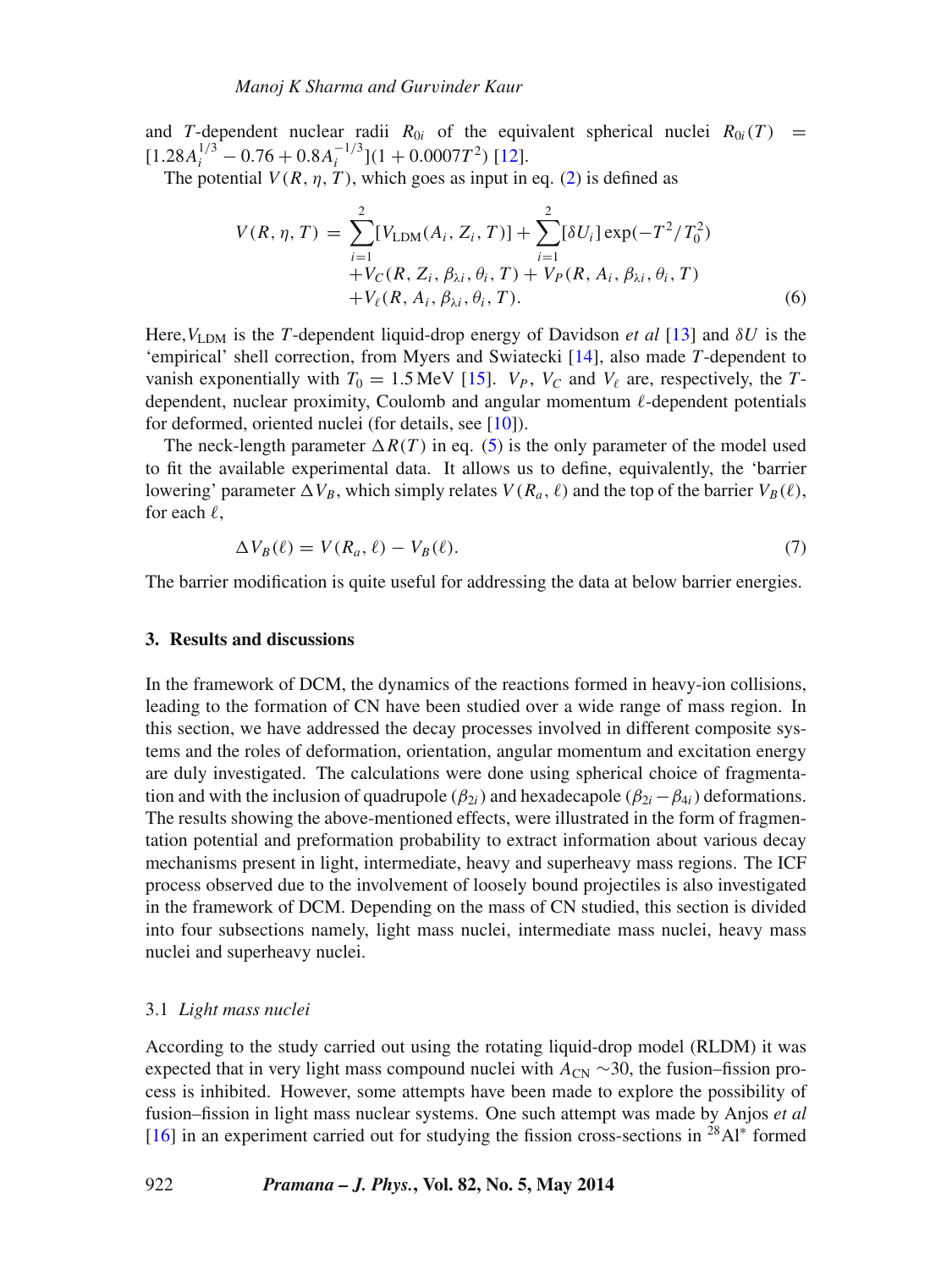and *T*-dependent nuclear radii  $R_{0i}$  of the equivalent spherical nuclei  $R_{0i}(T)$  =  $[1.28A_i^{1/3} - 0.76 + 0.8A_i^{-1/3}](1 + 0.0007T^2)$  [\[12\]](#page-10-7).

The potential  $V(R, \eta, T)$ , which goes as input in eq. [\(2\)](#page-2-1) is defined as

$$
V(R, \eta, T) = \sum_{i=1}^{2} [V_{\text{LDM}}(A_i, Z_i, T)] + \sum_{i=1}^{2} [\delta U_i] \exp(-T^2/T_0^2) + V_C(R, Z_i, \beta_{\lambda i}, \theta_i, T) + V_P(R, A_i, \beta_{\lambda i}, \theta_i, T) + V_{\ell}(R, A_i, \beta_{\lambda i}, \theta_i, T).
$$
 (6)

Here,  $V_{LDM}$  is the *T*-dependent liquid-drop energy of Davidson *et al* [\[13\]](#page-10-8) and  $\delta U$  is the 'empirical' shell correction, from Myers and Swiatecki [\[14\]](#page-10-9), also made *T*-dependent to vanish exponentially with  $T_0 = 1.5$  MeV [\[15\]](#page-10-10).  $V_P$ ,  $V_C$  and  $V_\ell$  are, respectively, the *T*dependent, nuclear proximity, Coulomb and angular momentum  $\ell$ -dependent potentials for deformed, oriented nuclei (for details, see [\[10\]](#page-10-5)).

The neck-length parameter  $\Delta R(T)$  in eq. [\(5\)](#page-2-2) is the only parameter of the model used to fit the available experimental data. It allows us to define, equivalently, the 'barrier lowering' parameter  $\Delta V_B$ , which simply relates  $V(R_a, \ell)$  and the top of the barrier  $V_B(\ell)$ , for each  $\ell$ ,

$$
\Delta V_B(\ell) = V(R_a, \ell) - V_B(\ell). \tag{7}
$$

The barrier modification is quite useful for addressing the data at below barrier energies.

#### <span id="page-3-0"></span>**3. Results and discussions**

In the framework of DCM, the dynamics of the reactions formed in heavy-ion collisions, leading to the formation of CN have been studied over a wide range of mass region. In this section, we have addressed the decay processes involved in different composite systems and the roles of deformation, orientation, angular momentum and excitation energy are duly investigated. The calculations were done using spherical choice of fragmentation and with the inclusion of quadrupole ( $\beta_{2i}$ ) and hexadecapole ( $\beta_{2i} - \beta_{4i}$ ) deformations. The results showing the above-mentioned effects, were illustrated in the form of fragmentation potential and preformation probability to extract information about various decay mechanisms present in light, intermediate, heavy and superheavy mass regions. The ICF process observed due to the involvement of loosely bound projectiles is also investigated in the framework of DCM. Depending on the mass of CN studied, this section is divided into four subsections namely, light mass nuclei, intermediate mass nuclei, heavy mass nuclei and superheavy nuclei.

#### 3.1 *Light mass nuclei*

According to the study carried out using the rotating liquid-drop model (RLDM) it was expected that in very light mass compound nuclei with  $A_{CN} \sim 30$ , the fusion–fission process is inhibited. However, some attempts have been made to explore the possibility of fusion–fission in light mass nuclear systems. One such attempt was made by Anjos *et al* [\[16\]](#page-10-11) in an experiment carried out for studying the fission cross-sections in <sup>28</sup>Al<sup>\*</sup> formed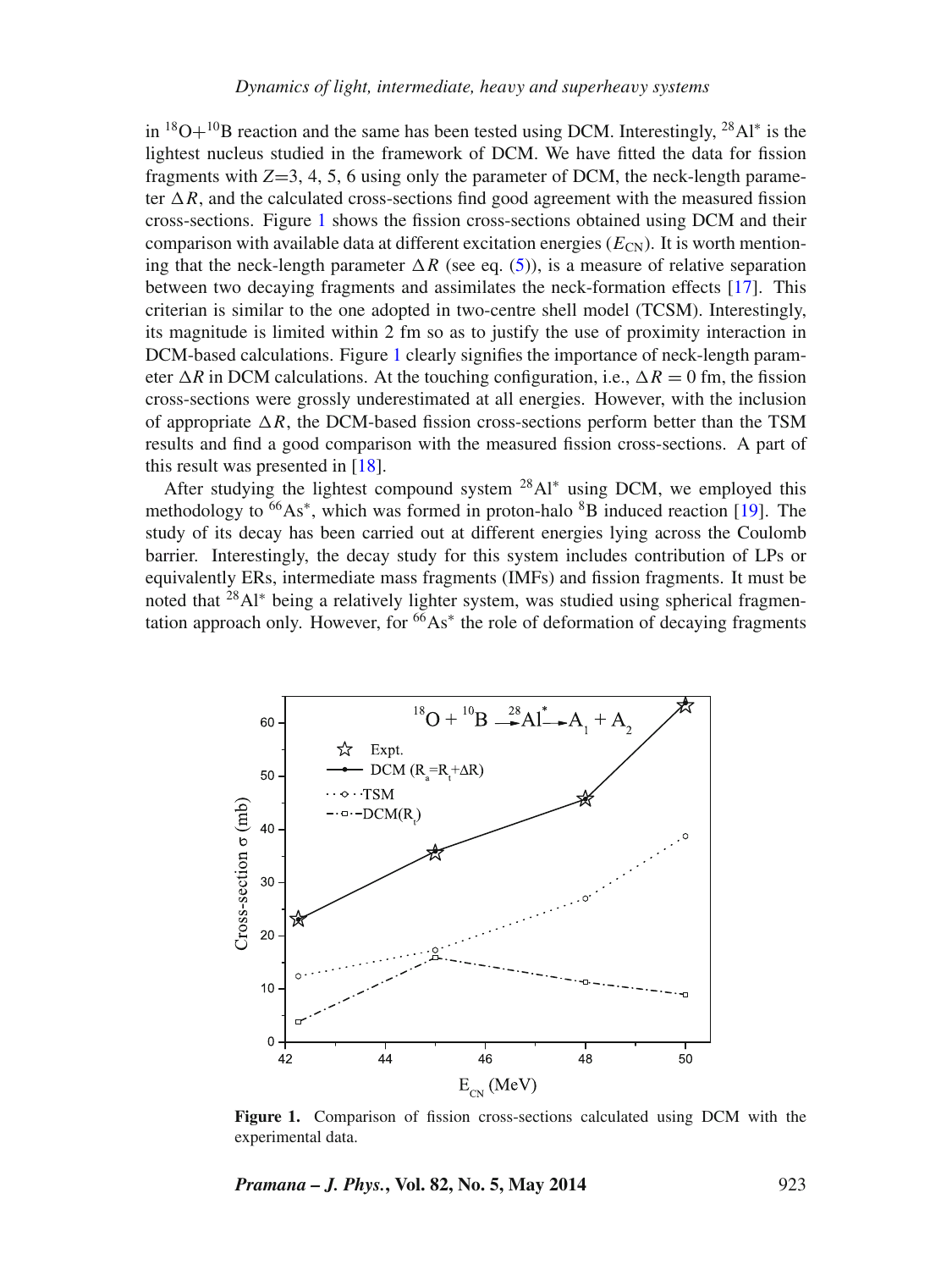in  ${}^{18}O+{}^{10}B$  reaction and the same has been tested using DCM. Interestingly,  ${}^{28}Al^*$  is the lightest nucleus studied in the framework of DCM. We have fitted the data for fission fragments with  $Z=3, 4, 5, 6$  using only the parameter of DCM, the neck-length parameter  $\Delta R$ , and the calculated cross-sections find good agreement with the measured fission cross-sections. Figure [1](#page-4-0) shows the fission cross-sections obtained using DCM and their comparison with available data at different excitation energies  $(E_{CN})$ . It is worth mentioning that the neck-length parameter  $\Delta R$  (see eq. [\(5\)](#page-2-2)), is a measure of relative separation between two decaying fragments and assimilates the neck-formation effects [\[17\]](#page-11-0). This criterian is similar to the one adopted in two-centre shell model (TCSM). Interestingly, its magnitude is limited within 2 fm so as to justify the use of proximity interaction in DCM-based calculations. Figure [1](#page-4-0) clearly signifies the importance of neck-length parameter  $\Delta R$  in DCM calculations. At the touching configuration, i.e.,  $\Delta R = 0$  fm, the fission cross-sections were grossly underestimated at all energies. However, with the inclusion of appropriate  $\Delta R$ , the DCM-based fission cross-sections perform better than the TSM results and find a good comparison with the measured fission cross-sections. A part of this result was presented in [\[18\]](#page-11-1).

After studying the lightest compound system  $^{28}Al^*$  using DCM, we employed this methodology to  $^{66}As^*$ , which was formed in proton-halo  $^{8}B$  induced reaction [\[19\]](#page-11-2). The study of its decay has been carried out at different energies lying across the Coulomb barrier. Interestingly, the decay study for this system includes contribution of LPs or equivalently ERs, intermediate mass fragments (IMFs) and fission fragments. It must be noted that <sup>28</sup>Al<sup>∗</sup> being a relatively lighter system, was studied using spherical fragmentation approach only. However, for  $66As^*$  the role of deformation of decaying fragments

<span id="page-4-0"></span>

**Figure 1.** Comparison of fission cross-sections calculated using DCM with the experimental data.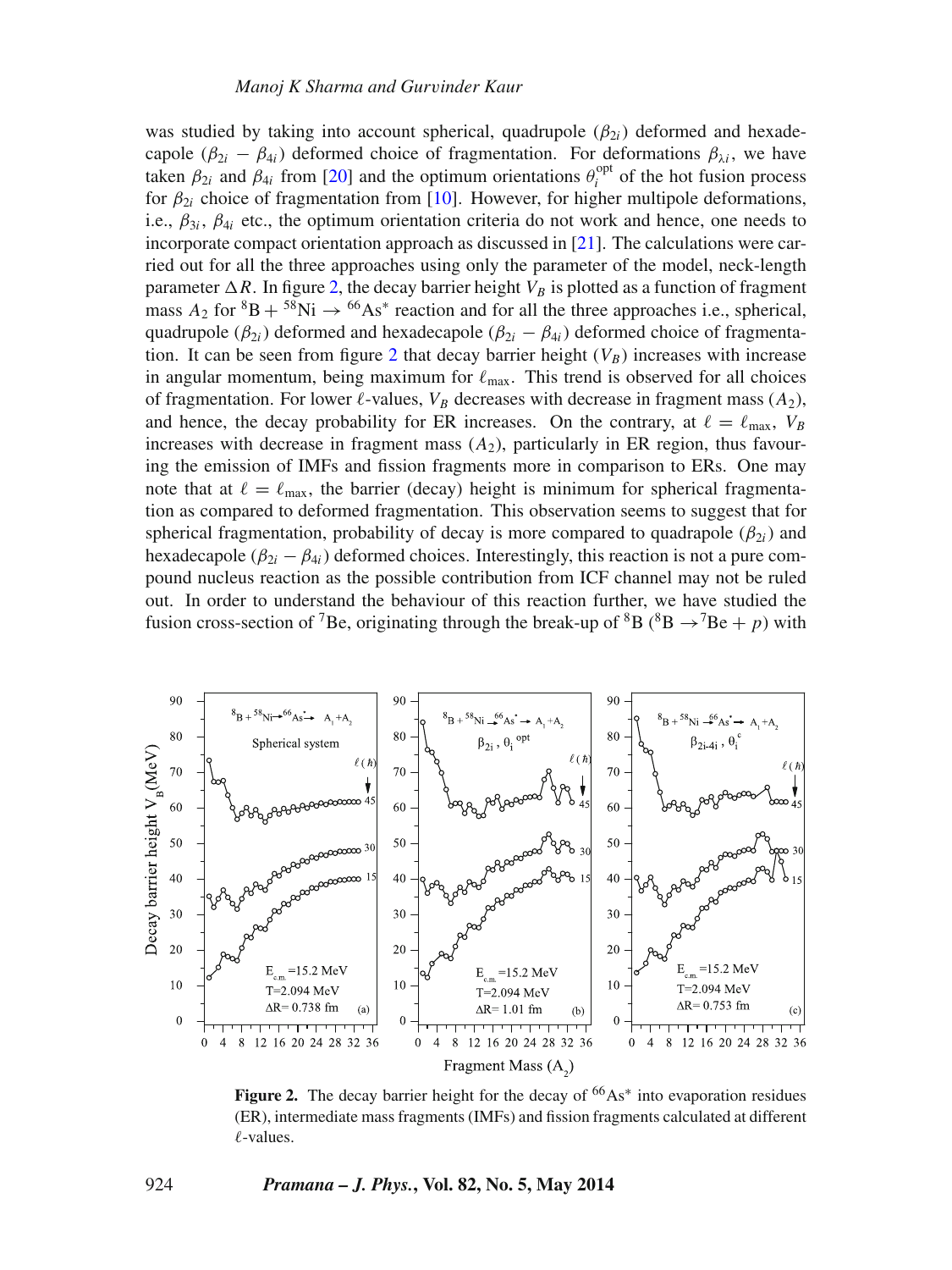was studied by taking into account spherical, quadrupole  $(\beta_{2i})$  deformed and hexadecapole  $(\beta_{2i} - \beta_{4i})$  deformed choice of fragmentation. For deformations  $\beta_{\lambda i}$ , we have taken  $\beta_{2i}$  and  $\beta_{4i}$  from [\[20\]](#page-11-3) and the optimum orientations  $\theta_i^{\text{opt}}$  of the hot fusion process for  $\beta_{2i}$  choice of fragmentation from [\[10\]](#page-10-5). However, for higher multipole deformations, i.e.,  $\beta_{3i}$ ,  $\beta_{4i}$  etc., the optimum orientation criteria do not work and hence, one needs to incorporate compact orientation approach as discussed in [\[21\]](#page-11-4). The calculations were carried out for all the three approaches using only the parameter of the model, neck-length parameter  $\Delta R$ . In figure [2,](#page-5-0) the decay barrier height  $V_B$  is plotted as a function of fragment mass  $A_2$  for  ${}^{8}B + {}^{58}Ni \rightarrow {}^{66}As*$  reaction and for all the three approaches i.e., spherical, quadrupole ( $\beta_{2i}$ ) deformed and hexadecapole ( $\beta_{2i} - \beta_{4i}$ ) deformed choice of fragmenta-tion. It can be seen from figure [2](#page-5-0) that decay barrier height  $(V_B)$  increases with increase in angular momentum, being maximum for  $\ell_{\text{max}}$ . This trend is observed for all choices of fragmentation. For lower  $\ell$ -values,  $V_B$  decreases with decrease in fragment mass  $(A_2)$ , and hence, the decay probability for ER increases. On the contrary, at  $\ell = \ell_{\text{max}}$ ,  $V_B$ increases with decrease in fragment mass  $(A_2)$ , particularly in ER region, thus favouring the emission of IMFs and fission fragments more in comparison to ERs. One may note that at  $\ell = \ell_{\text{max}}$ , the barrier (decay) height is minimum for spherical fragmentation as compared to deformed fragmentation. This observation seems to suggest that for spherical fragmentation, probability of decay is more compared to quadrapole ( $\beta_{2i}$ ) and hexadecapole  $(\beta_{2i} - \beta_{4i})$  deformed choices. Interestingly, this reaction is not a pure compound nucleus reaction as the possible contribution from ICF channel may not be ruled out. In order to understand the behaviour of this reaction further, we have studied the fusion cross-section of <sup>7</sup>Be, originating through the break-up of <sup>8</sup>B (<sup>8</sup>B  $\rightarrow$ <sup>7</sup>Be + *p*) with

<span id="page-5-0"></span>

Figure 2. The decay barrier height for the decay of <sup>66</sup>As<sup>∗</sup> into evaporation residues (ER), intermediate mass fragments (IMFs) and fission fragments calculated at different  $\ell$ -values.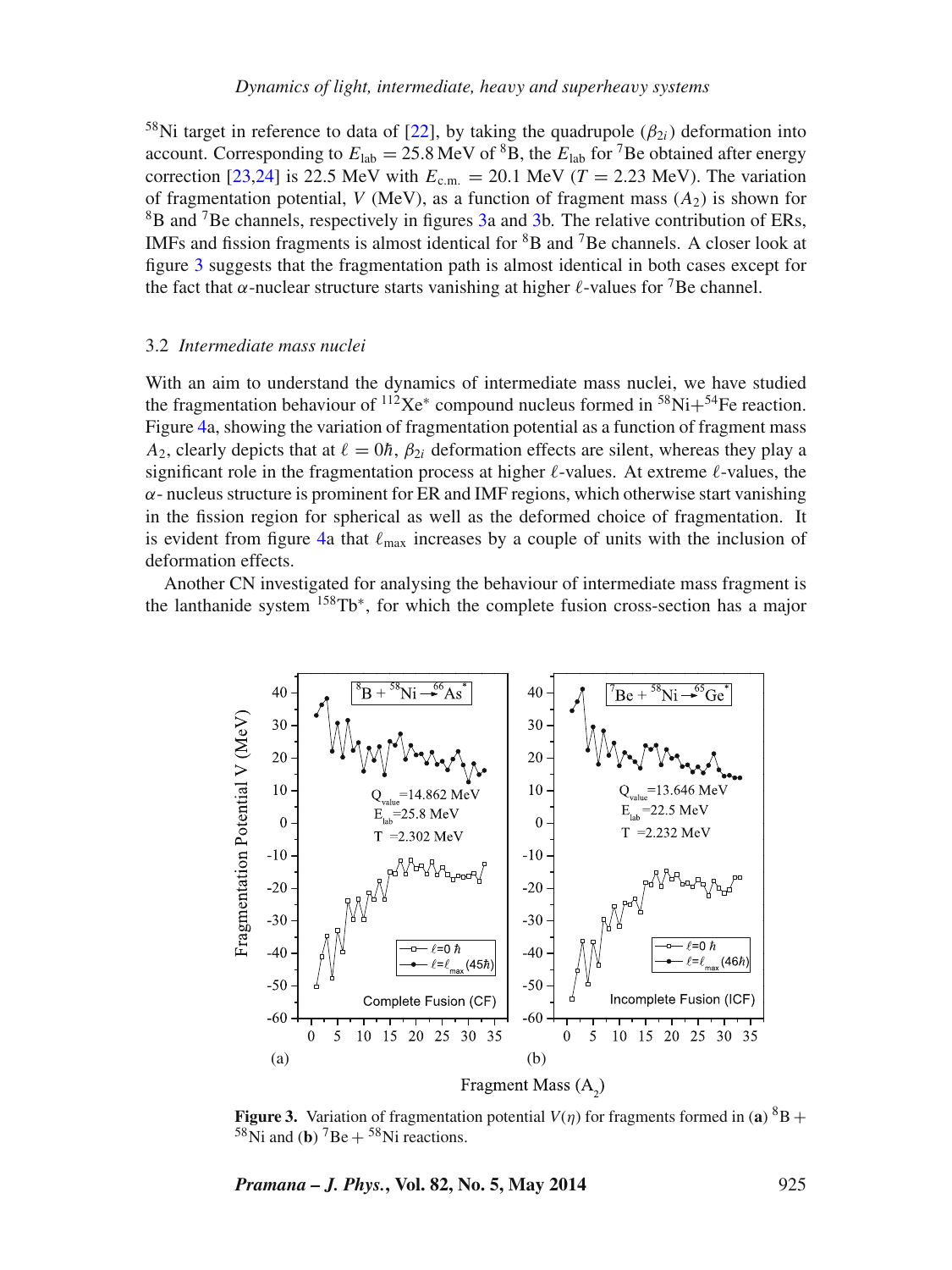<sup>58</sup>Ni target in reference to data of [\[22\]](#page-11-5), by taking the quadrupole ( $\beta_{2i}$ ) deformation into account. Corresponding to  $E_{lab} = 25.8 \text{ MeV}$  of <sup>8</sup>B, the  $E_{lab}$  for <sup>7</sup>Be obtained after energy correction [\[23,](#page-11-6)[24\]](#page-11-7) is 22.5 MeV with  $E_{cm} = 20.1$  MeV ( $T = 2.23$  MeV). The variation of fragmentation potential, *V* (MeV), as a function of fragment mass  $(A_2)$  is shown for 8B and 7Be channels, respectively in figures [3a](#page-6-0) and [3b](#page-6-0). The relative contribution of ERs, IMFs and fission fragments is almost identical for  ${}^{8}B$  and  ${}^{7}Be$  channels. A closer look at figure [3](#page-6-0) suggests that the fragmentation path is almost identical in both cases except for the fact that  $\alpha$ -nuclear structure starts vanishing at higher  $\ell$ -values for <sup>7</sup>Be channel.

#### 3.2 *Intermediate mass nuclei*

With an aim to understand the dynamics of intermediate mass nuclei, we have studied the fragmentation behaviour of  ${}^{112}\text{Xe}^*$  compound nucleus formed in  ${}^{58}\text{Ni}+{}^{54}\text{Fe}$  reaction. Figure [4a](#page-7-0), showing the variation of fragmentation potential as a function of fragment mass *A*<sub>2</sub>, clearly depicts that at  $\ell = 0\hbar$ ,  $\beta_{2i}$  deformation effects are silent, whereas they play a significant role in the fragmentation process at higher  $\ell$ -values. At extreme  $\ell$ -values, the  $\alpha$ - nucleus structure is prominent for ER and IMF regions, which otherwise start vanishing in the fission region for spherical as well as the deformed choice of fragmentation. It is evident from figure [4a](#page-7-0) that  $\ell_{\text{max}}$  increases by a couple of units with the inclusion of deformation effects.

<span id="page-6-0"></span>Another CN investigated for analysing the behaviour of intermediate mass fragment is the lanthanide system 158Tb∗, for which the complete fusion cross-section has a major



**Figure 3.** Variation of fragmentation potential  $V(\eta)$  for fragments formed in (a)  ${}^{8}B +$  $58$ Ni and (**b**)  $7Be + 58$ Ni reactions.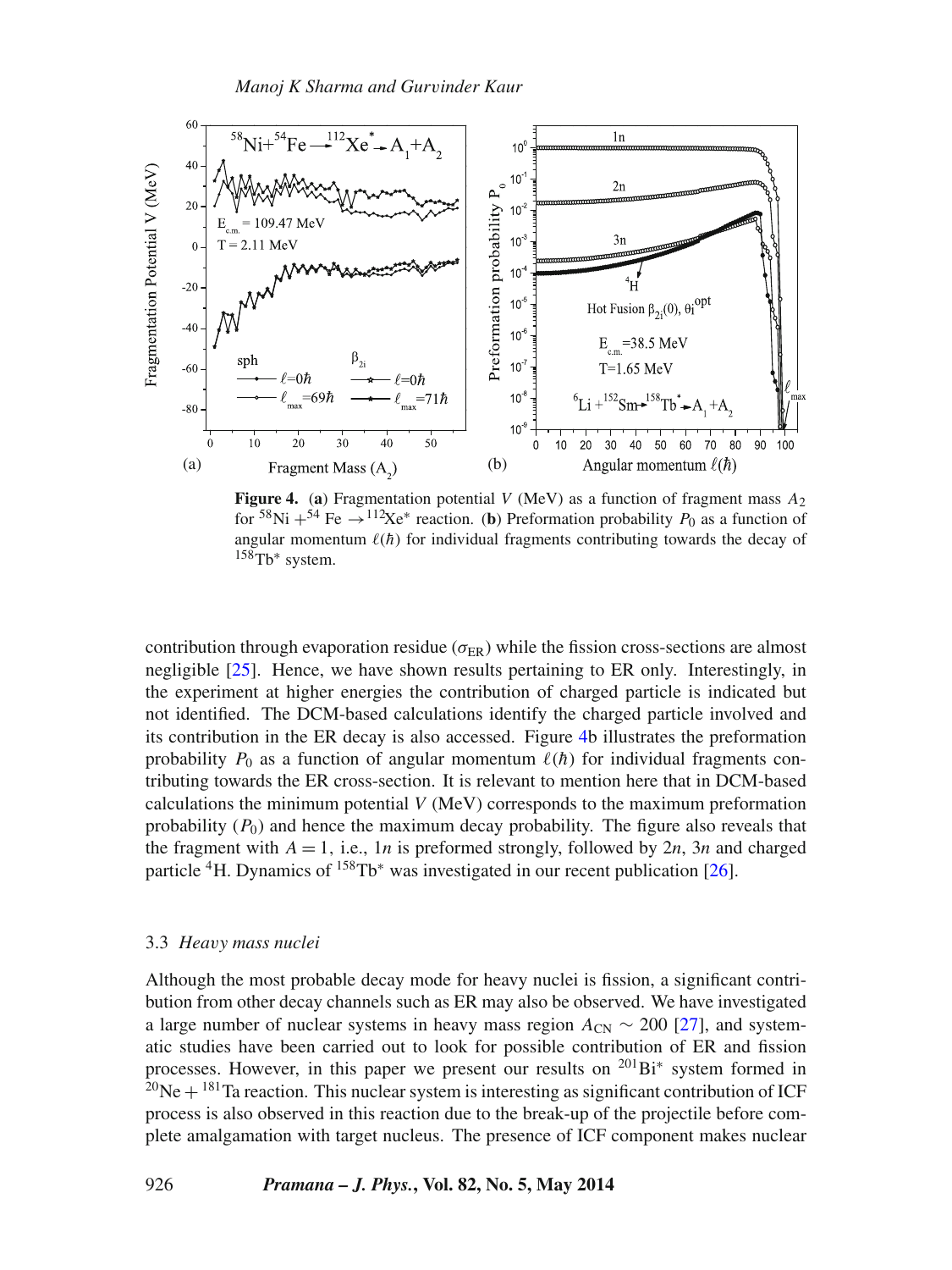<span id="page-7-0"></span>

**Figure 4.** (a) Fragmentation potential *V* (MeV) as a function of fragment mass  $A_2$ for <sup>58</sup>Ni + <sup>54</sup> Fe  $\rightarrow$  <sup>112</sup>Xe<sup>\*</sup> reaction. (**b**) Preformation probability *P*<sub>0</sub> as a function of angular momentum  $\ell(\hbar)$  for individual fragments contributing towards the decay of 158Tb<sup>∗</sup> system.

contribution through evaporation residue ( $\sigma_{ER}$ ) while the fission cross-sections are almost negligible [\[25\]](#page-11-8). Hence, we have shown results pertaining to ER only. Interestingly, in the experiment at higher energies the contribution of charged particle is indicated but not identified. The DCM-based calculations identify the charged particle involved and its contribution in the ER decay is also accessed. Figure [4b](#page-7-0) illustrates the preformation probability  $P_0$  as a function of angular momentum  $\ell(\hbar)$  for individual fragments contributing towards the ER cross-section. It is relevant to mention here that in DCM-based calculations the minimum potential *V* (MeV) corresponds to the maximum preformation probability  $(P_0)$  and hence the maximum decay probability. The figure also reveals that the fragment with  $A = 1$ , i.e., 1*n* is preformed strongly, followed by 2*n*, 3*n* and charged particle  ${}^{4}$ H. Dynamics of  ${}^{158}$ Tb<sup>\*</sup> was investigated in our recent publication [\[26\]](#page-11-9).

#### 3.3 *Heavy mass nuclei*

Although the most probable decay mode for heavy nuclei is fission, a significant contribution from other decay channels such as ER may also be observed. We have investigated a large number of nuclear systems in heavy mass region  $A_{CN} \sim 200$  [\[27\]](#page-11-10), and systematic studies have been carried out to look for possible contribution of ER and fission processes. However, in this paper we present our results on  $^{201}Bi^*$  system formed in  $^{20}$ Ne +  $^{181}$ Ta reaction. This nuclear system is interesting as significant contribution of ICF process is also observed in this reaction due to the break-up of the projectile before complete amalgamation with target nucleus. The presence of ICF component makes nuclear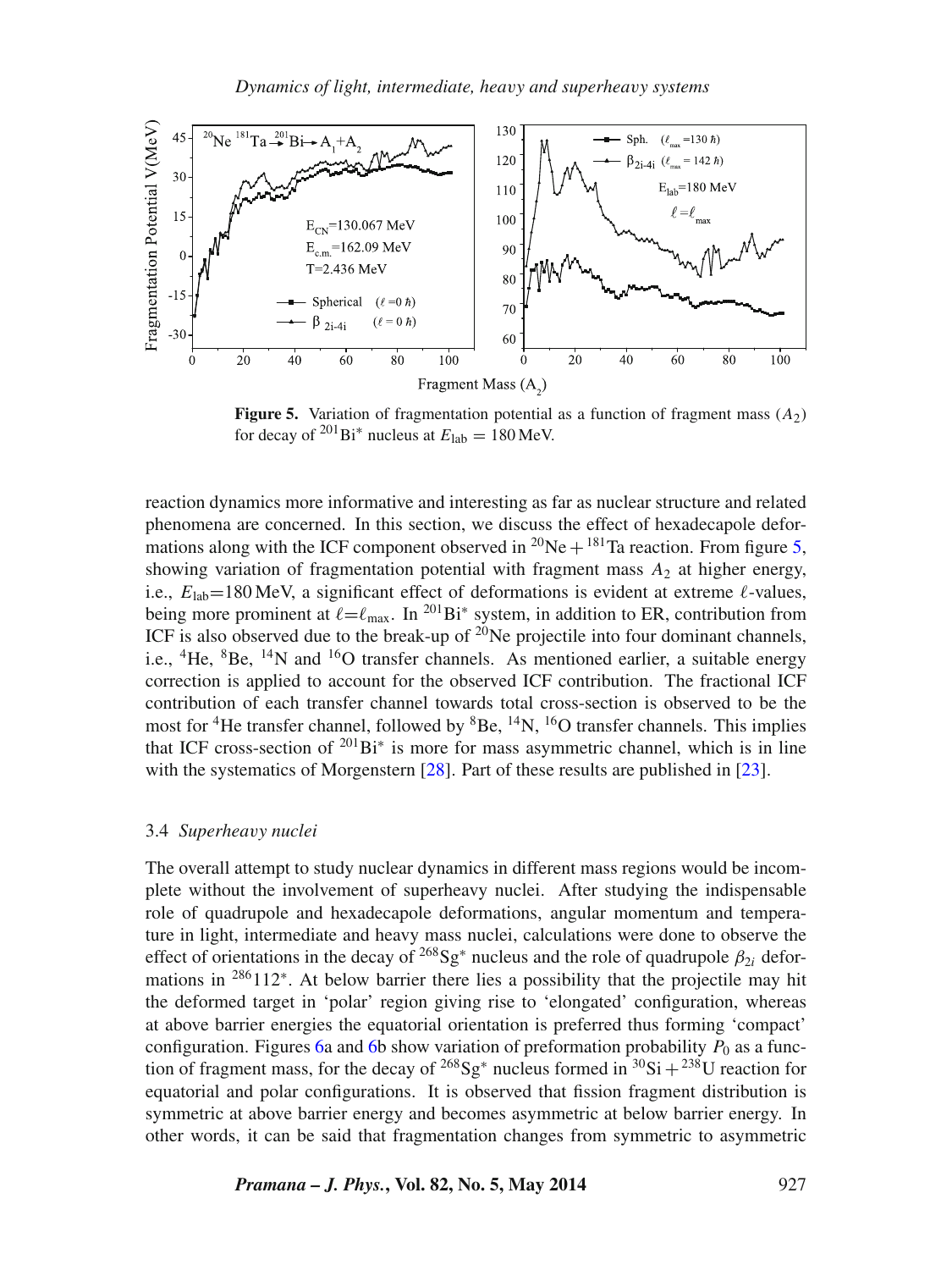<span id="page-8-0"></span>

**Figure 5.** Variation of fragmentation potential as a function of fragment mass  $(A_2)$ for decay of <sup>201</sup>Bi<sup>\*</sup> nucleus at  $E_{\rm lab} = 180$  MeV.

reaction dynamics more informative and interesting as far as nuclear structure and related phenomena are concerned. In this section, we discuss the effect of hexadecapole deformations along with the ICF component observed in  ${}^{20}$ Ne +  ${}^{181}$ Ta reaction. From figure [5,](#page-8-0) showing variation of fragmentation potential with fragment mass  $A_2$  at higher energy, i.e.,  $E_{lab} = 180$  MeV, a significant effect of deformations is evident at extreme  $\ell$ -values, being more prominent at  $\ell = \ell_{\text{max}}$ . In <sup>201</sup>Bi<sup>\*</sup> system, in addition to ER, contribution from ICF is also observed due to the break-up of  $2^{0}$ Ne projectile into four dominant channels, i.e.,  ${}^{4}$ He,  ${}^{8}$ Be,  ${}^{14}$ N and  ${}^{16}$ O transfer channels. As mentioned earlier, a suitable energy correction is applied to account for the observed ICF contribution. The fractional ICF contribution of each transfer channel towards total cross-section is observed to be the most for <sup>4</sup>He transfer channel, followed by  ${}^{8}$ Be,  ${}^{14}$ N,  ${}^{16}$ O transfer channels. This implies that ICF cross-section of  $^{201}$ Bi<sup>\*</sup> is more for mass asymmetric channel, which is in line with the systematics of Morgenstern [\[28\]](#page-11-11). Part of these results are published in [\[23\]](#page-11-6).

### 3.4 *Superheavy nuclei*

The overall attempt to study nuclear dynamics in different mass regions would be incomplete without the involvement of superheavy nuclei. After studying the indispensable role of quadrupole and hexadecapole deformations, angular momentum and temperature in light, intermediate and heavy mass nuclei, calculations were done to observe the effect of orientations in the decay of <sup>268</sup>Sg<sup>\*</sup> nucleus and the role of quadrupole  $\beta_{2i}$  deformations in <sup>286</sup>112<sup>∗</sup>. At below barrier there lies a possibility that the projectile may hit the deformed target in 'polar' region giving rise to 'elongated' configuration, whereas at above barrier energies the equatorial orientation is preferred thus forming 'compact' configuration. Figures [6a](#page-9-1) and [6b](#page-9-1) show variation of preformation probability  $P_0$  as a function of fragment mass, for the decay of <sup>268</sup>Sg<sup>\*</sup> nucleus formed in <sup>30</sup>Si + <sup>238</sup>U reaction for equatorial and polar configurations. It is observed that fission fragment distribution is symmetric at above barrier energy and becomes asymmetric at below barrier energy. In other words, it can be said that fragmentation changes from symmetric to asymmetric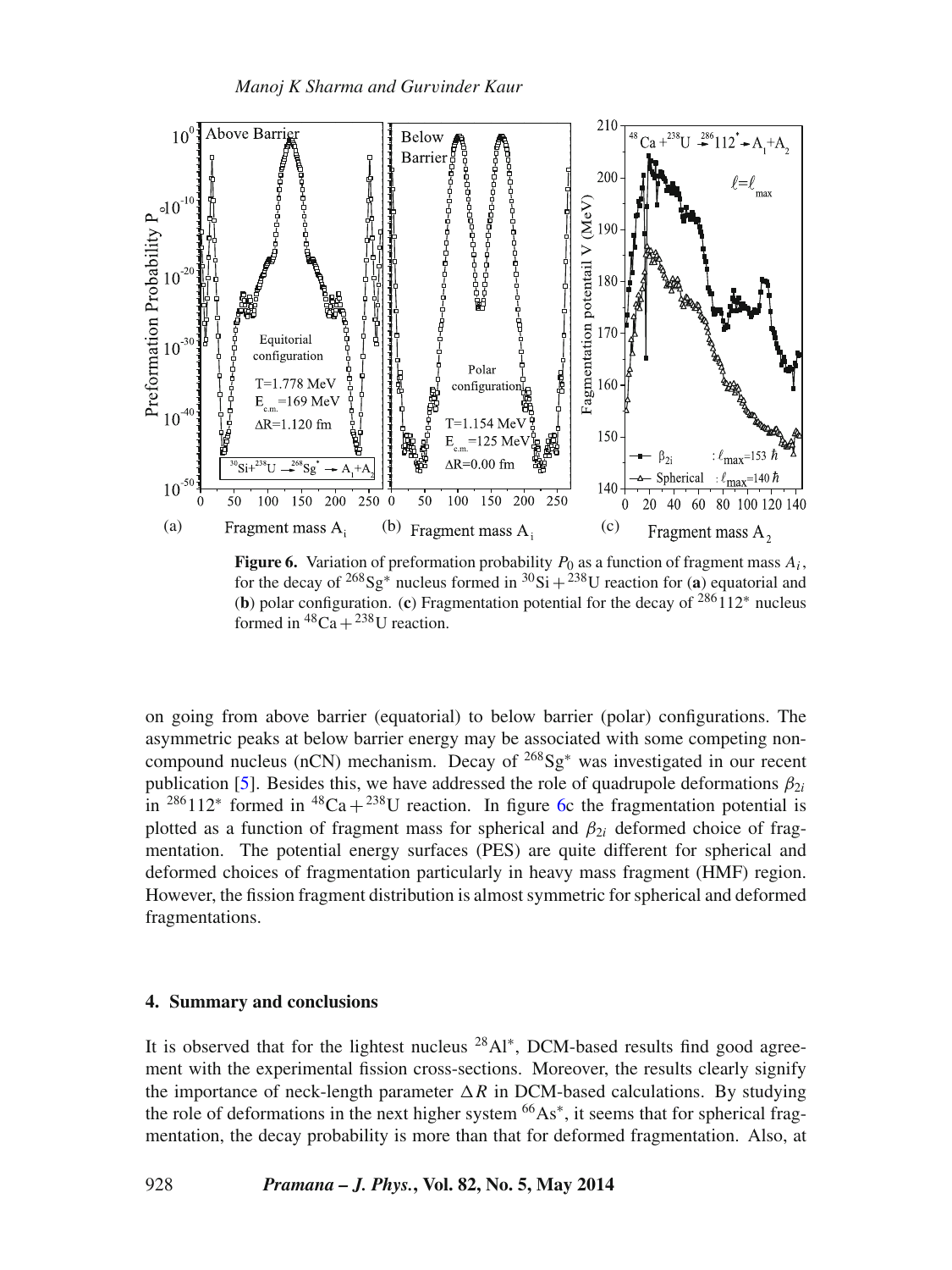<span id="page-9-1"></span>

**Figure 6.** Variation of preformation probability  $P_0$  as a function of fragment mass  $A_i$ , for the decay of <sup>268</sup>Sg<sup>\*</sup> nucleus formed in <sup>30</sup>Si + <sup>238</sup>U reaction for (a) equatorial and (**b**) polar configuration. (**c**) Fragmentation potential for the decay of 286112<sup>∗</sup> nucleus formed in  ${}^{48}Ca + {}^{238}U$  reaction.

on going from above barrier (equatorial) to below barrier (polar) configurations. The asymmetric peaks at below barrier energy may be associated with some competing noncompound nucleus (nCN) mechanism. Decay of 268Sg<sup>∗</sup> was investigated in our recent publication [\[5\]](#page-10-4). Besides this, we have addressed the role of quadrupole deformations  $\beta_{2i}$ in <sup>286</sup>112<sup>∗</sup> formed in <sup>48</sup>Ca + <sup>238</sup>U reaction. In figure [6c](#page-9-1) the fragmentation potential is plotted as a function of fragment mass for spherical and  $\beta_{2i}$  deformed choice of fragmentation. The potential energy surfaces (PES) are quite different for spherical and deformed choices of fragmentation particularly in heavy mass fragment (HMF) region. However, the fission fragment distribution is almost symmetric for spherical and deformed fragmentations.

## <span id="page-9-0"></span>**4. Summary and conclusions**

It is observed that for the lightest nucleus  $^{28}$ Al<sup>∗</sup>, DCM-based results find good agreement with the experimental fission cross-sections. Moreover, the results clearly signify the importance of neck-length parameter  $\Delta R$  in DCM-based calculations. By studying the role of deformations in the next higher system  $66As^*$ , it seems that for spherical fragmentation, the decay probability is more than that for deformed fragmentation. Also, at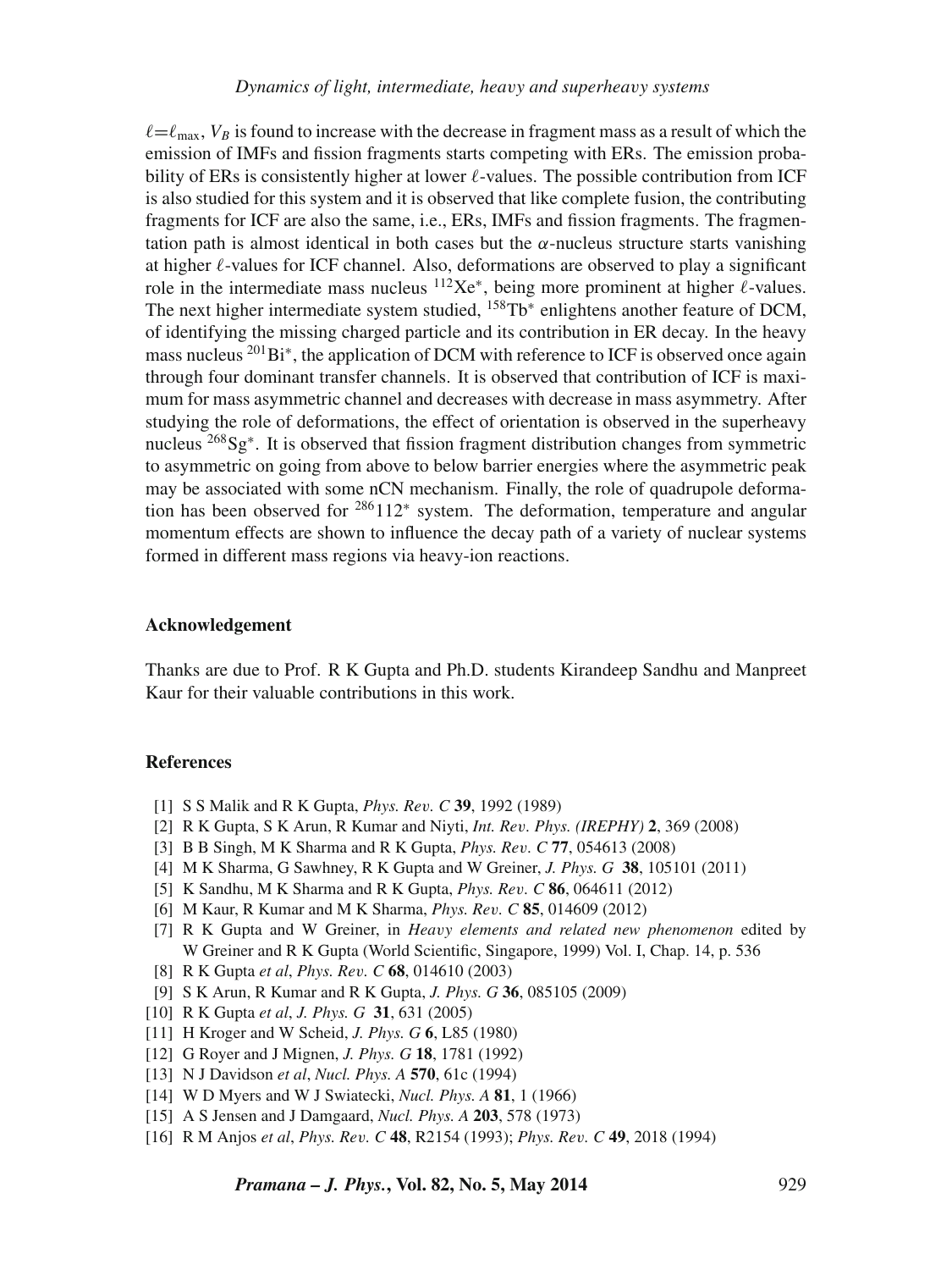$\ell = \ell_{\text{max}}$ ,  $V_B$  is found to increase with the decrease in fragment mass as a result of which the emission of IMFs and fission fragments starts competing with ERs. The emission probability of ERs is consistently higher at lower  $\ell$ -values. The possible contribution from ICF is also studied for this system and it is observed that like complete fusion, the contributing fragments for ICF are also the same, i.e., ERs, IMFs and fission fragments. The fragmentation path is almost identical in both cases but the  $\alpha$ -nucleus structure starts vanishing at higher  $\ell$ -values for ICF channel. Also, deformations are observed to play a significant role in the intermediate mass nucleus  ${}^{112}\text{Xe}^*$ , being more prominent at higher  $\ell$ -values. The next higher intermediate system studied, <sup>158</sup>Tb<sup>\*</sup> enlightens another feature of DCM, of identifying the missing charged particle and its contribution in ER decay. In the heavy mass nucleus <sup>201</sup>Bi<sup>∗</sup>, the application of DCM with reference to ICF is observed once again through four dominant transfer channels. It is observed that contribution of ICF is maximum for mass asymmetric channel and decreases with decrease in mass asymmetry. After studying the role of deformations, the effect of orientation is observed in the superheavy nucleus <sup>268</sup>Sg<sup>∗</sup>. It is observed that fission fragment distribution changes from symmetric to asymmetric on going from above to below barrier energies where the asymmetric peak may be associated with some nCN mechanism. Finally, the role of quadrupole deformation has been observed for  $286112*$  system. The deformation, temperature and angular momentum effects are shown to influence the decay path of a variety of nuclear systems formed in different mass regions via heavy-ion reactions.

#### **Acknowledgement**

Thanks are due to Prof. R K Gupta and Ph.D. students Kirandeep Sandhu and Manpreet Kaur for their valuable contributions in this work.

#### **References**

- <span id="page-10-0"></span>[1] S S Malik and R K Gupta, *Phys. Rev. C* **39**, 1992 (1989)
- [2] R K Gupta, S K Arun, R Kumar and Niyti, *Int. Rev. Phys. (IREPHY)* **2**, 369 (2008)
- [3] B B Singh, M K Sharma and R K Gupta, *Phys. Rev. C* **77**, 054613 (2008)
- [4] M K Sharma, G Sawhney, R K Gupta and W Greiner, *J. Phys. G* **38**, 105101 (2011)
- <span id="page-10-4"></span>[5] K Sandhu, M K Sharma and R K Gupta, *Phys. Rev. C* **86**, 064611 (2012)
- [6] M Kaur, R Kumar and M K Sharma, *Phys. Rev. C* **85**, 014609 (2012)
- <span id="page-10-1"></span>[7] R K Gupta and W Greiner, in *Heavy elements and related new phenomenon* edited by W Greiner and R K Gupta (World Scientific, Singapore, 1999) Vol. I, Chap. 14, p. 536
- <span id="page-10-2"></span>[8] R K Gupta *et al*, *Phys. Rev. C* **68**, 014610 (2003)
- <span id="page-10-3"></span>[9] S K Arun, R Kumar and R K Gupta, *J. Phys. G* **36**, 085105 (2009)
- <span id="page-10-5"></span>[10] R K Gupta *et al*, *J. Phys. G* **31**, 631 (2005)
- <span id="page-10-6"></span>[11] H Kroger and W Scheid, *J. Phys. G* **6**, L85 (1980)
- <span id="page-10-7"></span>[12] G Royer and J Mignen, *J. Phys. G* **18**, 1781 (1992)
- <span id="page-10-8"></span>[13] N J Davidson *et al*, *Nucl. Phys. A* **570**, 61c (1994)
- <span id="page-10-9"></span>[14] W D Myers and W J Swiatecki, *Nucl. Phys. A* **81**, 1 (1966)
- <span id="page-10-10"></span>[15] A S Jensen and J Damgaard, *Nucl. Phys. A* **203**, 578 (1973)
- <span id="page-10-11"></span>[16] R M Anjos *et al*, *Phys. Rev. C* **48**, R2154 (1993); *Phys. Rev. C* **49**, 2018 (1994)